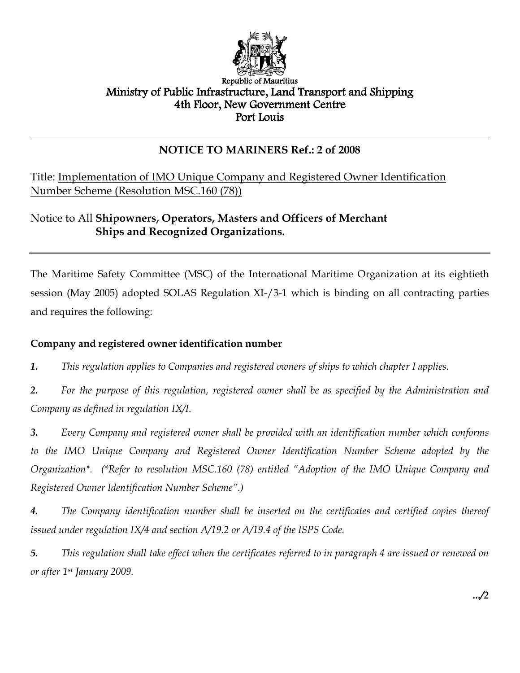

### Republic of Mauritius Ministry of Public Infrastructure, Land Transport and Shipping 4th Floor, New Government Centre Port Louis

## **NOTICE TO MARINERS Ref.: 2 of 2008**

Title: Implementation of IMO Unique Company and Registered Owner Identification Number Scheme (Resolution MSC.160 (78))

## Notice to All **Shipowners, Operators, Masters and Officers of Merchant Ships and Recognized Organizations.**

The Maritime Safety Committee (MSC) of the International Maritime Organization at its eightieth session (May 2005) adopted SOLAS Regulation XI-/3-1 which is binding on all contracting parties and requires the following:

## **Company and registered owner identification number**

*1. This regulation applies to Companies and registered owners of ships to which chapter I applies.*

*2. For the purpose of this regulation, registered owner shall be as specified by the Administration and Company as defined in regulation IX/I.*

*3. Every Company and registered owner shall be provided with an identification number which conforms to the IMO Unique Company and Registered Owner Identification Number Scheme adopted by the Organization\*. (\*Refer to resolution MSC.160 (78) entitled "Adoption of the IMO Unique Company and Registered Owner Identification Number Scheme".)*

*4. The Company identification number shall be inserted on the certificates and certified copies thereof issued under regulation IX/4 and section A/19.2 or A/19.4 of the ISPS Code.*

*5. This regulation shall take effect when the certificates referred to in paragraph 4 are issued or renewed on or after 1st January 2009.*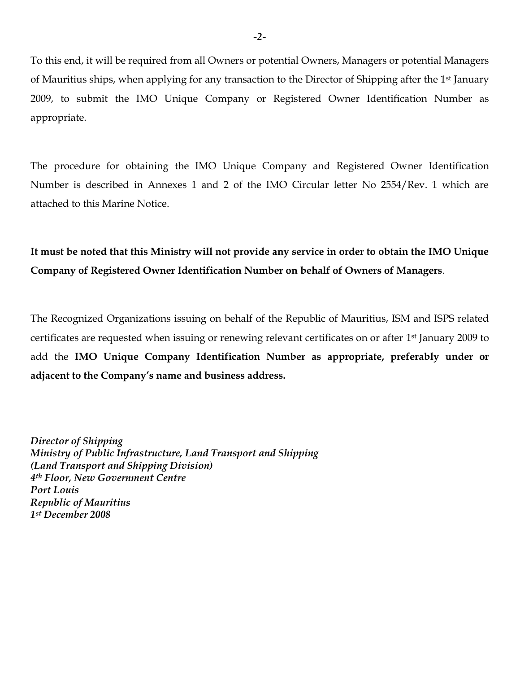To this end, it will be required from all Owners or potential Owners, Managers or potential Managers of Mauritius ships, when applying for any transaction to the Director of Shipping after the 1st January 2009, to submit the IMO Unique Company or Registered Owner Identification Number as appropriate.

The procedure for obtaining the IMO Unique Company and Registered Owner Identification Number is described in Annexes 1 and 2 of the IMO Circular letter No 2554/Rev. 1 which are attached to this Marine Notice.

**It must be noted that this Ministry will not provide any service in order to obtain the IMO Unique Company of Registered Owner Identification Number on behalf of Owners of Managers**.

The Recognized Organizations issuing on behalf of the Republic of Mauritius, ISM and ISPS related certificates are requested when issuing or renewing relevant certificates on or after 1st January 2009 to add the **IMO Unique Company Identification Number as appropriate, preferably under or adjacent to the Company's name and business address.**

*Director of Shipping Ministry of Public Infrastructure, Land Transport and Shipping (Land Transport and Shipping Division) 4th Floor, New Government Centre Port Louis Republic of Mauritius 1st December 2008*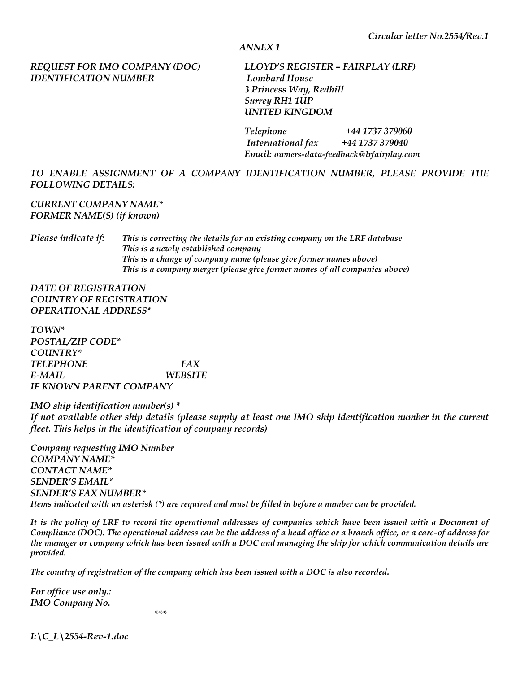#### *ANNEX 1*

#### *REQUEST FOR IMO COMPANY (DOC) LLOYD'S REGISTER – FAIRPLAY (LRF) IDENTIFICATION NUMBER Lombard House*

 *3 Princess Way, Redhill Surrey RH1 1UP UNITED KINGDOM* 

 *Telephone +44 1737 379060 International fax +44 1737 379040 Email: owners-data-feedback@lrfairplay.com*

#### *TO ENABLE ASSIGNMENT OF A COMPANY IDENTIFICATION NUMBER, PLEASE PROVIDE THE FOLLOWING DETAILS:*

#### *CURRENT COMPANY NAME\* FORMER NAME(S) (if known)*

*Please indicate if: This is correcting the details for an existing company on the LRF database This is a newly established company This is a change of company name (please give former names above) This is a company merger (please give former names of all companies above)* 

*DATE OF REGISTRATION COUNTRY OF REGISTRATION OPERATIONAL ADDRESS\** 

*TOWN\* POSTAL/ZIP CODE\* COUNTRY\* TELEPHONE FAX E-MAIL WEBSITE IF KNOWN PARENT COMPANY* 

*IMO ship identification number(s) \* If not available other ship details (please supply at least one IMO ship identification number in the current fleet. This helps in the identification of company records)* 

*Company requesting IMO Number COMPANY NAME\* CONTACT NAME\* SENDER'S EMAIL\* SENDER'S FAX NUMBER\* Items indicated with an asterisk (\*) are required and must be filled in before a number can be provided.* 

It is the policy of LRF to record the operational addresses of companies which have been issued with a Document of *Compliance (DOC). The operational address can be the address of a head office or a branch office, or a care-of address for the manager or company which has been issued with a DOC and managing the ship for which communication details are provided.* 

*The country of registration of the company which has been issued with a DOC is also recorded.* 

*For office use only.: IMO Company No.* 

 *\*\*\** 

*I:\C\_L\2554-Rev-1.doc*